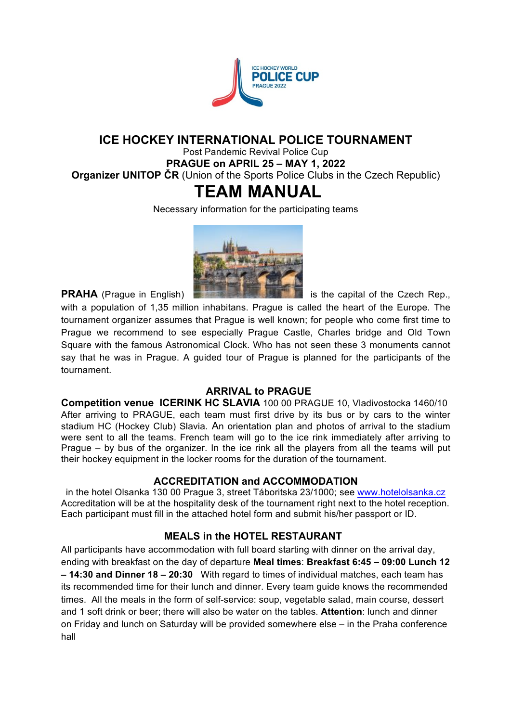

# **ICE HOCKEY INTERNATIONAL POLICE TOURNAMENT**

Post Pandemic Revival Police Cup **PRAGUE on APRIL 25 – MAY 1, 2022 Organizer UNITOP ČR** (Union of the Sports Police Clubs in the Czech Republic)

# **TEAM MANUAL**

Necessary information for the participating teams



**PRAHA** (Prague in English) **is the capital of the Czech Rep.**,

with a population of 1,35 million inhabitans. Prague is called the heart of the Europe. The tournament organizer assumes that Prague is well known; for people who come first time to Prague we recommend to see especially Prague Castle, Charles bridge and Old Town Square with the famous Astronomical Clock. Who has not seen these 3 monuments cannot say that he was in Prague. A guided tour of Prague is planned for the participants of the tournament.

# **ARRIVAL to PRAGUE**

**Competition venue ICERINK HC SLAVIA** 100 00 PRAGUE 10, Vladivostocka 1460/10 After arriving to PRAGUE, each team must first drive by its bus or by cars to the winter stadium HC (Hockey Club) Slavia. An orientation plan and photos of arrival to the stadium were sent to all the teams. French team will go to the ice rink immediately after arriving to Prague – by bus of the organizer. In the ice rink all the players from all the teams will put their hockey equipment in the locker rooms for the duration of the tournament.

# **ACCREDITATION and ACCOMMODATION**

in the hotel Olsanka 130 00 Prague 3, street Táboritska 23/1000; see www.hotelolsanka.cz Accreditation will be at the hospitality desk of the tournament right next to the hotel reception. Each participant must fill in the attached hotel form and submit his/her passport or ID.

# **MEALS** in the HOTEL RESTAURANT

All participants have accommodation with full board starting with dinner on the arrival day, ending with breakfast on the day of departure **Meal times**: **Breakfast 6:45 – 09:00 Lunch 12 – 14:30 and Dinner 18 – 20:30** With regard to times of individual matches, each team has its recommended time for their lunch and dinner. Every team guide knows the recommended times. All the meals in the form of self-service: soup, vegetable salad, main course, dessert and 1 soft drink or beer; there will also be water on the tables. **Attention**: lunch and dinner on Friday and lunch on Saturday will be provided somewhere else – in the Praha conference hall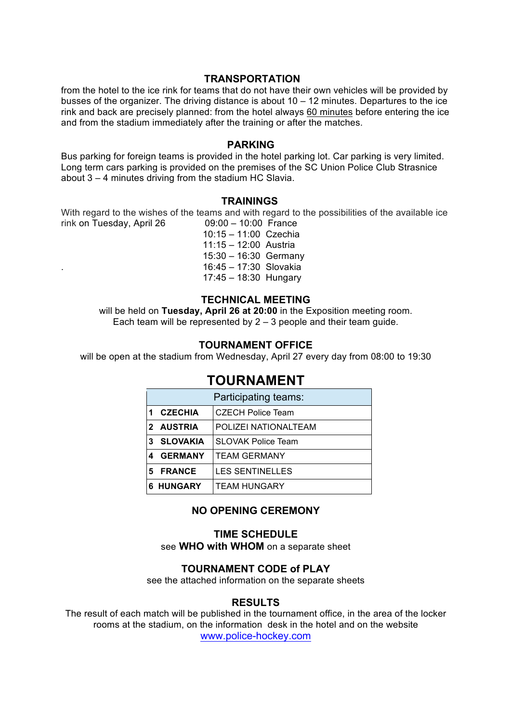#### **TRANSPORTATION**

from the hotel to the ice rink for teams that do not have their own vehicles will be provided by busses of the organizer. The driving distance is about  $10 - 12$  minutes. Departures to the ice rink and back are precisely planned: from the hotel always 60 minutes before entering the ice and from the stadium immediately after the training or after the matches.

#### **PARKING**

Bus parking for foreign teams is provided in the hotel parking lot. Car parking is very limited. Long term cars parking is provided on the premises of the SC Union Police Club Strasnice about 3 – 4 minutes driving from the stadium HC Slavia.

#### **TRAININGS**

With regard to the wishes of the teams and with regard to the possibilities of the available ice<br>rink on Tuesday. April 26  $0.00 - 10.00$  France rink on Tuesday, April 26

 10:15 – 11:00 Czechia 11:15 – 12:00 Austria 15:30 – 16:30 Germany . 16:45 – 17:30 Slovakia 17:45 – 18:30 Hungary

#### **TECHNICAL MEETING**

will be held on **Tuesday, April 26 at 20:00** in the Exposition meeting room. Each team will be represented by  $2 - 3$  people and their team guide.

#### **TOURNAMENT OFFICE**

will be open at the stadium from Wednesday, April 27 every day from 08:00 to 19:30

# **TOURNAMENT**

| Participating teams: |                  |                           |  |  |
|----------------------|------------------|---------------------------|--|--|
|                      | <b>CZECHIA</b>   | <b>CZECH Police Team</b>  |  |  |
|                      | 2 AUSTRIA        | POLIZEI NATIONALTEAM      |  |  |
| 3                    | SLOVAKIA         | <b>SLOVAK Police Team</b> |  |  |
|                      | <b>GERMANY</b>   | <b>TEAM GERMANY</b>       |  |  |
| 5.                   | <b>FRANCE</b>    | <b>LES SENTINELLES</b>    |  |  |
|                      | <b>6 HUNGARY</b> | <b>TEAM HUNGARY</b>       |  |  |

#### **NO OPENING CEREMONY**

#### **TIME SCHEDULE** see **WHO with WHOM** on a separate sheet

#### **TOURNAMENT CODE of PLAY**

see the attached information on the separate sheets

#### **RESULTS**

The result of each match will be published in the tournament office, in the area of the locker rooms at the stadium, on the information desk in the hotel and on the website www.police-hockey.com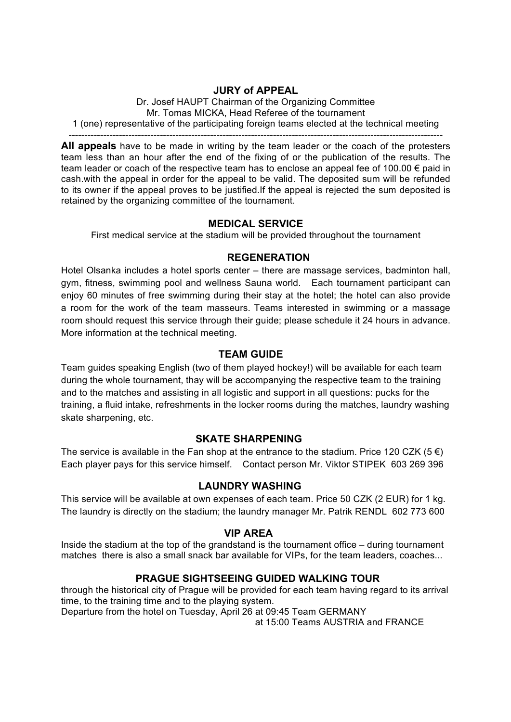## **JURY of APPEAL**

Dr. Josef HAUPT Chairman of the Organizing Committee Mr. Tomas MICKA, Head Referee of the tournament 1 (one) representative of the participating foreign teams elected at the technical meeting

**All appeals** have to be made in writing by the team leader or the coach of the protesters team less than an hour after the end of the fixing of or the publication of the results. The team leader or coach of the respective team has to enclose an appeal fee of 100.00  $\epsilon$  paid in cash.with the appeal in order for the appeal to be valid. The deposited sum will be refunded to its owner if the appeal proves to be justified.If the appeal is rejected the sum deposited is retained by the organizing committee of the tournament.

## **MEDICAL SERVICE**

First medical service at the stadium will be provided throughout the tournament

# **REGENERATION**

Hotel Olsanka includes a hotel sports center – there are massage services, badminton hall, gym, fitness, swimming pool and wellness Sauna world. Each tournament participant can enjoy 60 minutes of free swimming during their stay at the hotel; the hotel can also provide a room for the work of the team masseurs. Teams interested in swimming or a massage room should request this service through their guide; please schedule it 24 hours in advance. More information at the technical meeting.

# **TEAM GUIDE**

Team guides speaking English (two of them played hockey!) will be available for each team during the whole tournament, thay will be accompanying the respective team to the training and to the matches and assisting in all logistic and support in all questions: pucks for the training, a fluid intake, refreshments in the locker rooms during the matches, laundry washing skate sharpening, etc.

## **SKATE SHARPENING**

The service is available in the Fan shop at the entrance to the stadium. Price 120 CZK (5  $\epsilon$ ) Each player pays for this service himself. Contact person Mr. Viktor STIPEK 603 269 396

## **LAUNDRY WASHING**

This service will be available at own expenses of each team. Price 50 CZK (2 EUR) for 1 kg. The laundry is directly on the stadium; the laundry manager Mr. Patrik RENDL 602 773 600

## **VIP AREA**

Inside the stadium at the top of the grandstand is the tournament office – during tournament matches there is also a small snack bar available for VIPs, for the team leaders, coaches...

# **PRAGUE SIGHTSEEING GUIDED WALKING TOUR**

through the historical city of Prague will be provided for each team having regard to its arrival time, to the training time and to the playing system.

Departure from the hotel on Tuesday, April 26 at 09:45 Team GERMANY

at 15:00 Teams AUSTRIA and FRANCE